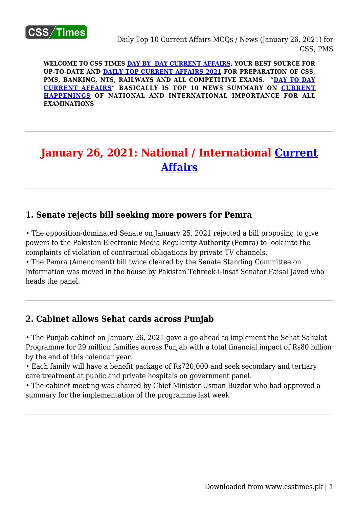

**WELCOME TO CSS TIMES [DAY BY DAY CURRENT AFFAIRS](https://www.csstimes.pk/category/csssubject/csscompulsorysubjects/currentaffairs/), YOUR BEST SOURCE FOR UP-TO-DATE AND [DAILY TOP CURRENT AFFAIRS 2021](https://www.csstimes.pk/category/csssubject/csscompulsorysubjects/currentaffairs/) FOR PREPARATION OF CSS, PMS, BANKING, NTS, RAILWAYS AND ALL COMPETITIVE EXAMS. "[DAY TO DAY](https://www.csstimes.pk/category/csssubject/csscompulsorysubjects/currentaffairs/) [CURRENT AFFAIRS"](https://www.csstimes.pk/category/csssubject/csscompulsorysubjects/currentaffairs/) BASICALLY IS TOP 10 NEWS SUMMARY ON [CURRENT](https://www.csstimes.pk/category/csssubject/csscompulsorysubjects/currentaffairs/) [HAPPENINGS](https://www.csstimes.pk/category/csssubject/csscompulsorysubjects/currentaffairs/) OF NATIONAL AND INTERNATIONAL IMPORTANCE FOR ALL EXAMINATIONS**

# **January 26, 2021: National / International [Current](https://www.csstimes.pk/category/csssubject/csscompulsorysubjects/currentaffairs/) [Affairs](https://www.csstimes.pk/category/csssubject/csscompulsorysubjects/currentaffairs/)**

## **1. Senate rejects bill seeking more powers for Pemra**

• The opposition-dominated Senate on January 25, 2021 rejected a bill proposing to give powers to the Pakistan Electronic Media Regularity Authority (Pemra) to look into the complaints of violation of contractual obligations by private TV channels.

• The Pemra (Amendment) bill twice cleared by the Senate Standing Committee on Information was moved in the house by Pakistan Tehreek-i-Insaf Senator Faisal Javed who heads the panel.

## **2. Cabinet allows Sehat cards across Punjab**

• The Punjab cabinet on January 26, 2021 gave a go ahead to implement the Sehat Sahulat Programme for 29 million families across Punjab with a total financial impact of Rs80 billion by the end of this calendar year.

• Each family will have a benefit package of Rs720,000 and seek secondary and tertiary care treatment at public and private hospitals on government panel.

• The cabinet meeting was chaired by Chief Minister Usman Buzdar who had approved a summary for the implementation of the programme last week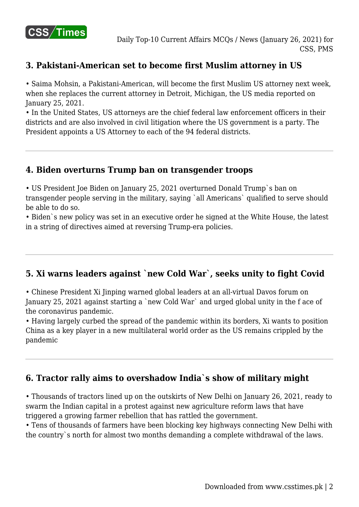

## **3. Pakistani-American set to become first Muslim attorney in US**

• Saima Mohsin, a Pakistani-American, will become the first Muslim US attorney next week, when she replaces the current attorney in Detroit, Michigan, the US media reported on January 25, 2021.

• In the United States, US attorneys are the chief federal law enforcement officers in their districts and are also involved in civil litigation where the US government is a party. The President appoints a US Attorney to each of the 94 federal districts.

## **4. Biden overturns Trump ban on transgender troops**

• US President Joe Biden on January 25, 2021 overturned Donald Trump`s ban on transgender people serving in the military, saying `all Americans` qualified to serve should be able to do so.

• Biden`s new policy was set in an executive order he signed at the White House, the latest in a string of directives aimed at reversing Trump-era policies.

# **5. Xi warns leaders against `new Cold War`, seeks unity to fight Covid**

• Chinese President Xi Jinping warned global leaders at an all-virtual Davos forum on January 25, 2021 against starting a `new Cold War` and urged global unity in the f ace of the coronavirus pandemic.

• Having largely curbed the spread of the pandemic within its borders, Xi wants to position China as a key player in a new multilateral world order as the US remains crippled by the pandemic

# **6. Tractor rally aims to overshadow India`s show of military might**

• Thousands of tractors lined up on the outskirts of New Delhi on January 26, 2021, ready to swarm the Indian capital in a protest against new agriculture reform laws that have triggered a growing farmer rebellion that has rattled the government.

• Tens of thousands of farmers have been blocking key highways connecting New Delhi with the country`s north for almost two months demanding a complete withdrawal of the laws.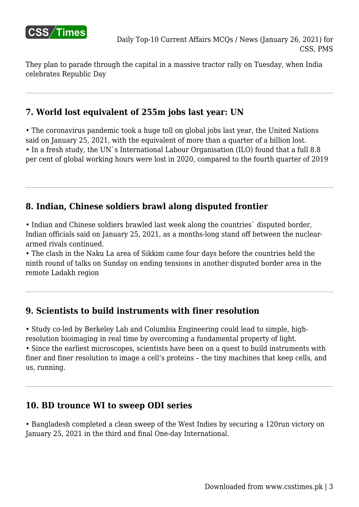

They plan to parade through the capital in a massive tractor rally on Tuesday, when India celebrates Republic Day

## **7. World lost equivalent of 255m jobs last year: UN**

• The coronavirus pandemic took a huge toll on global jobs last year, the United Nations said on January 25, 2021, with the equivalent of more than a quarter of a billion lost. • In a fresh study, the UN`s International Labour Organisation (ILO) found that a full 8.8 per cent of global working hours were lost in 2020, compared to the fourth quarter of 2019

# **8. Indian, Chinese soldiers brawl along disputed frontier**

• Indian and Chinese soldiers brawled last week along the countries` disputed border, Indian officials said on January 25, 2021, as a months-long stand off between the nucleararmed rivals continued.

• The clash in the Naku La area of Sikkim came four days before the countries held the ninth round of talks on Sunday on ending tensions in another disputed border area in the remote Ladakh region

## **9. Scientists to build instruments with finer resolution**

• Study co-led by Berkeley Lab and Columbia Engineering could lead to simple, highresolution bioimaging in real time by overcoming a fundamental property of light. • Since the earliest microscopes, scientists have been on a quest to build instruments with finer and finer resolution to image a cell's proteins – the tiny machines that keep cells, and us, running.

## **10. BD trounce WI to sweep ODI series**

• Bangladesh completed a clean sweep of the West Indies by securing a 120run victory on January 25, 2021 in the third and final One-day International.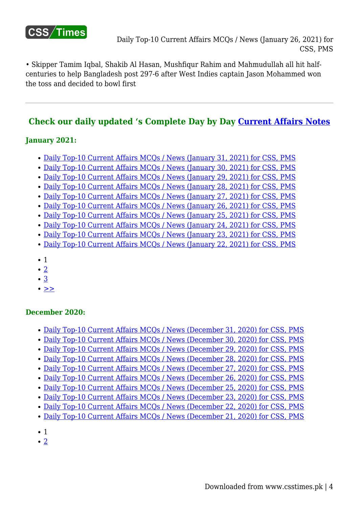

• Skipper Tamim Iqbal, Shakib Al Hasan, Mushfiqur Rahim and Mahmudullah all hit halfcenturies to help Bangladesh post 297-6 after West Indies captain Jason Mohammed won the toss and decided to bowl first

# **Check our daily updated 's Complete Day by Day [Current Affairs Notes](https://www.csstimes.pk/category/csssubject/csscompulsorysubjects/currentaffairs/)**

#### **January 2021:**

- [Daily Top-10 Current Affairs MCQs / News \(January 31, 2021\) for CSS, PMS](https://www.csstimes.pk/daily-current-affairs-mcqs-jan-31-2021/)
- [Daily Top-10 Current Affairs MCQs / News \(January 30, 2021\) for CSS, PMS](https://www.csstimes.pk/daily-current-affairs-mcqs-jan-30-2021/)
- [Daily Top-10 Current Affairs MCQs / News \(January 29, 2021\) for CSS, PMS](https://www.csstimes.pk/daily-current-affairs-mcqs-jan-29-2021/)
- [Daily Top-10 Current Affairs MCQs / News \(January 28, 2021\) for CSS, PMS](https://www.csstimes.pk/current-affairs-mcqs-jan-28-2021/)
- Daily Top-10 Current Affairs MCOs / News (January 27, 2021) for CSS, PMS
- [Daily Top-10 Current Affairs MCQs / News \(January 26, 2021\) for CSS, PMS](https://www.csstimes.pk/current-affairs-mcqs-jan-26-2021/)
- [Daily Top-10 Current Affairs MCQs / News \(January 25, 2021\) for CSS, PMS](https://www.csstimes.pk/current-affairs-mcqs-jan-25-2021/)
- [Daily Top-10 Current Affairs MCQs / News \(January 24, 2021\) for CSS, PMS](https://www.csstimes.pk/top-current-affairs-mcqs-jan-24-2021/)
- [Daily Top-10 Current Affairs MCQs / News \(January 23, 2021\) for CSS, PMS](https://www.csstimes.pk/current-affairs-mcqs-jan-23-2021/)
- [Daily Top-10 Current Affairs MCQs / News \(January 22, 2021\) for CSS, PMS](https://www.csstimes.pk/current-affairs-mcqs-jan-22-2021/)
- 1
- $\bullet$  [2](https://www.csstimes.pk/current-affairs-mcqs-jan-26-2021/?pdf=16005&lcp_page0=2#lcp_instance_0)
- [3](https://www.csstimes.pk/current-affairs-mcqs-jan-26-2021/?pdf=16005&lcp_page0=3#lcp_instance_0)
- $\bullet$  [>>](https://www.csstimes.pk/current-affairs-mcqs-jan-26-2021/?pdf=16005&lcp_page0=2#lcp_instance_0)

#### **December 2020:**

- [Daily Top-10 Current Affairs MCQs / News \(December 31, 2020\) for CSS, PMS](https://www.csstimes.pk/current-affairs-mcqs-dec-31-2020/)
- [Daily Top-10 Current Affairs MCQs / News \(December 30, 2020\) for CSS, PMS](https://www.csstimes.pk/current-affairs-mcqs-dec-30-2020/)
- [Daily Top-10 Current Affairs MCQs / News \(December 29, 2020\) for CSS, PMS](https://www.csstimes.pk/current-affairs-mcqs-dec-29-2020/)
- [Daily Top-10 Current Affairs MCQs / News \(December 28, 2020\) for CSS, PMS](https://www.csstimes.pk/current-affairs-mcqs-dec-28-2020/)
- [Daily Top-10 Current Affairs MCQs / News \(December 27, 2020\) for CSS, PMS](https://www.csstimes.pk/current-affairs-mcqs-dece-27-2020/)
- [Daily Top-10 Current Affairs MCQs / News \(December 26, 2020\) for CSS, PMS](https://www.csstimes.pk/current-affairs-mcqs-dece-26-2020/)
- [Daily Top-10 Current Affairs MCQs / News \(December 25, 2020\) for CSS, PMS](https://www.csstimes.pk/current-affairs-mcqs-dec-25-2020/)
- [Daily Top-10 Current Affairs MCQs / News \(December 23, 2020\) for CSS, PMS](https://www.csstimes.pk/current-affairs-news-dec-23-2020/)
- [Daily Top-10 Current Affairs MCQs / News \(December 22, 2020\) for CSS, PMS](https://www.csstimes.pk/current-affairs-mcqs-dec-22-2020/)
- [Daily Top-10 Current Affairs MCQs / News \(December 21, 2020\) for CSS, PMS](https://www.csstimes.pk/current-affairs-mcqs-dec-21-2020/)
- $\bullet$  1
- $\cdot$  [2](https://www.csstimes.pk/current-affairs-mcqs-jan-26-2021/?pdf=16005&lcp_page0=2#lcp_instance_0)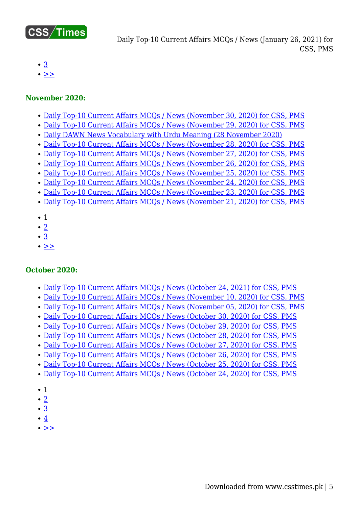

Daily Top-10 Current Affairs MCQs / News (January 26, 2021) for CSS, PMS

- [3](https://www.csstimes.pk/current-affairs-mcqs-jan-26-2021/?pdf=16005&lcp_page0=3#lcp_instance_0)
- $\bullet$   $>$

#### **November 2020:**

- [Daily Top-10 Current Affairs MCQs / News \(November 30, 2020\) for CSS, PMS](https://www.csstimes.pk/current-affairs-mcqs-nov-30-2020/)
- [Daily Top-10 Current Affairs MCQs / News \(November 29, 2020\) for CSS, PMS](https://www.csstimes.pk/current-affairs-mcqs-nov-29-2020/)
- [Daily DAWN News Vocabulary with Urdu Meaning \(28 November 2020\)](https://www.csstimes.pk/dawn-news-vocabulary-28-nov-2020/)
- [Daily Top-10 Current Affairs MCQs / News \(November 28, 2020\) for CSS, PMS](https://www.csstimes.pk/current-affairs-mcqs-nov-28-2020/)
- [Daily Top-10 Current Affairs MCQs / News \(November 27, 2020\) for CSS, PMS](https://www.csstimes.pk/current-affairs-mcqs-nov-27-2020/)
- [Daily Top-10 Current Affairs MCQs / News \(November 26, 2020\) for CSS, PMS](https://www.csstimes.pk/current-affairs-mcqs-nov-26-2020/)
- [Daily Top-10 Current Affairs MCQs / News \(November 25, 2020\) for CSS, PMS](https://www.csstimes.pk/current-affairs-mcqs-nov-25-2020/)
- [Daily Top-10 Current Affairs MCQs / News \(November 24, 2020\) for CSS, PMS](https://www.csstimes.pk/current-affairs-mcqs-nov-24-2020/) [Daily Top-10 Current Affairs MCQs / News \(November 23, 2020\) for CSS, PMS](https://www.csstimes.pk/current-affairs-mcqs-nov-23-2020/)
- [Daily Top-10 Current Affairs MCQs / News \(November 21, 2020\) for CSS, PMS](https://www.csstimes.pk/current-affairs-mcqs-nov-21-2020/)
- $\bullet$  1
- $\bullet$  [2](https://www.csstimes.pk/current-affairs-mcqs-jan-26-2021/?pdf=16005&lcp_page0=2#lcp_instance_0)
- $\cdot$  [3](https://www.csstimes.pk/current-affairs-mcqs-jan-26-2021/?pdf=16005&lcp_page0=3#lcp_instance_0)
- $\bullet$   $\geq$

#### **October 2020:**

- [Daily Top-10 Current Affairs MCQs / News \(October 24, 2021\) for CSS, PMS](https://www.csstimes.pk/current-affairs-mcqs-oct-24-2021/)
- [Daily Top-10 Current Affairs MCQs / News \(November 10, 2020\) for CSS, PMS](https://www.csstimes.pk/current-affairs-mcqs-nov-10-2020/)
- [Daily Top-10 Current Affairs MCQs / News \(November 05, 2020\) for CSS, PMS](https://www.csstimes.pk/current-affairs-mcqs-nov-05-2020/)
- [Daily Top-10 Current Affairs MCQs / News \(October 30, 2020\) for CSS, PMS](https://www.csstimes.pk/current-affairs-mcqs-oct-30-2020/)
- [Daily Top-10 Current Affairs MCQs / News \(October 29, 2020\) for CSS, PMS](https://www.csstimes.pk/current-affairs-mcqs-oct-29-2020/)
- [Daily Top-10 Current Affairs MCQs / News \(October 28, 2020\) for CSS, PMS](https://www.csstimes.pk/current-affairs-mcqs-oct-28-2020/)
- [Daily Top-10 Current Affairs MCQs / News \(October 27, 2020\) for CSS, PMS](https://www.csstimes.pk/current-affairs-mcqs-oct-27-2020/)
- [Daily Top-10 Current Affairs MCQs / News \(October 26, 2020\) for CSS, PMS](https://www.csstimes.pk/current-affairs-mcqs-oct-26-2020/)
- [Daily Top-10 Current Affairs MCQs / News \(October 25, 2020\) for CSS, PMS](https://www.csstimes.pk/current-affairs-mcqs-oct-25-2020/)
- [Daily Top-10 Current Affairs MCQs / News \(October 24, 2020\) for CSS, PMS](https://www.csstimes.pk/top-10-current-affairs-mcqs-oct-24-2020/)
- $\bullet$  1
- $\bullet$  [2](https://www.csstimes.pk/current-affairs-mcqs-jan-26-2021/?pdf=16005&lcp_page0=2#lcp_instance_0)
- [3](https://www.csstimes.pk/current-affairs-mcqs-jan-26-2021/?pdf=16005&lcp_page0=3#lcp_instance_0)
- $•4$  $•4$
- $\bullet$  [>>](https://www.csstimes.pk/current-affairs-mcqs-jan-26-2021/?pdf=16005&lcp_page0=2#lcp_instance_0)